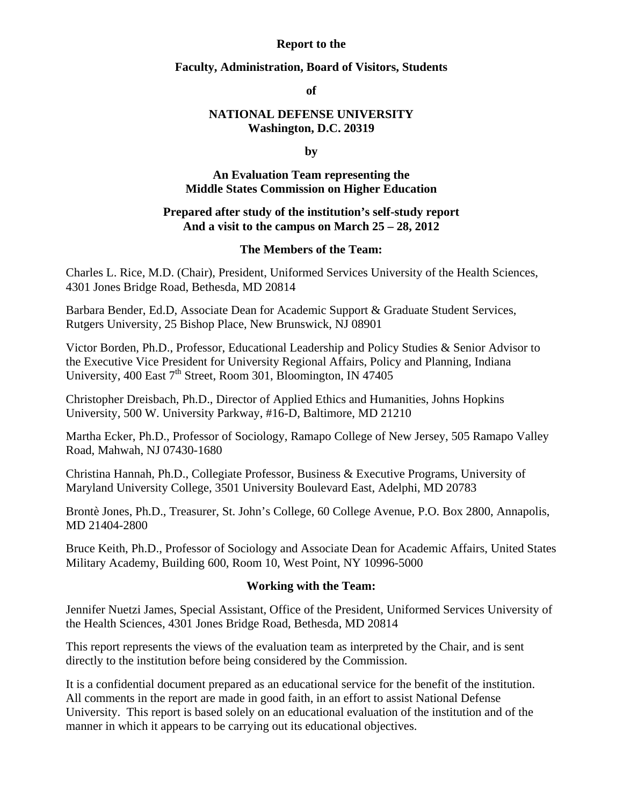#### **Report to the**

#### **Faculty, Administration, Board of Visitors, Students**

**of** 

### **NATIONAL DEFENSE UNIVERSITY Washington, D.C. 20319**

**by** 

#### **An Evaluation Team representing the Middle States Commission on Higher Education**

#### **Prepared after study of the institution's self-study report And a visit to the campus on March 25 – 28, 2012**

#### **The Members of the Team:**

Charles L. Rice, M.D. (Chair), President, Uniformed Services University of the Health Sciences, 4301 Jones Bridge Road, Bethesda, MD 20814

Barbara Bender, Ed.D, Associate Dean for Academic Support & Graduate Student Services, Rutgers University, 25 Bishop Place, New Brunswick, NJ 08901

Victor Borden, Ph.D., Professor, Educational Leadership and Policy Studies & Senior Advisor to the Executive Vice President for University Regional Affairs, Policy and Planning, Indiana University, 400 East  $7<sup>th</sup>$  Street, Room 301, Bloomington, IN 47405

Christopher Dreisbach, Ph.D., Director of Applied Ethics and Humanities, Johns Hopkins University, 500 W. University Parkway, #16-D, Baltimore, MD 21210

Martha Ecker, Ph.D., Professor of Sociology, Ramapo College of New Jersey, 505 Ramapo Valley Road, Mahwah, NJ 07430-1680

Christina Hannah, Ph.D., Collegiate Professor, Business & Executive Programs, University of Maryland University College, 3501 University Boulevard East, Adelphi, MD 20783

Brontè Jones, Ph.D., Treasurer, St. John's College, 60 College Avenue, P.O. Box 2800, Annapolis, MD 21404-2800

Bruce Keith, Ph.D., Professor of Sociology and Associate Dean for Academic Affairs, United States Military Academy, Building 600, Room 10, West Point, NY 10996-5000

#### **Working with the Team:**

Jennifer Nuetzi James, Special Assistant, Office of the President, Uniformed Services University of the Health Sciences, 4301 Jones Bridge Road, Bethesda, MD 20814

This report represents the views of the evaluation team as interpreted by the Chair, and is sent directly to the institution before being considered by the Commission.

It is a confidential document prepared as an educational service for the benefit of the institution. All comments in the report are made in good faith, in an effort to assist National Defense University. This report is based solely on an educational evaluation of the institution and of the manner in which it appears to be carrying out its educational objectives.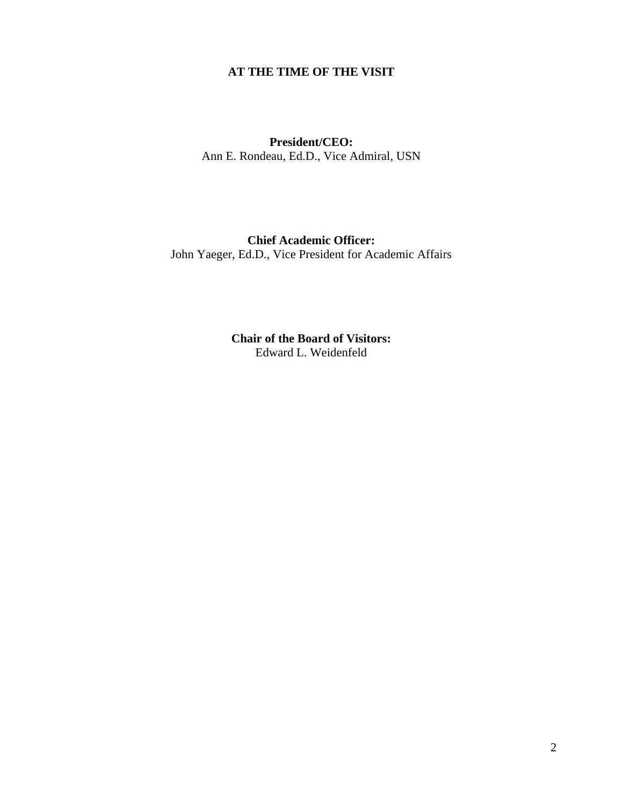# **AT THE TIME OF THE VISIT**

#### **President/CEO:**  Ann E. Rondeau, Ed.D., Vice Admiral, USN

# **Chief Academic Officer:**

John Yaeger, Ed.D., Vice President for Academic Affairs

**Chair of the Board of Visitors:**  Edward L. Weidenfeld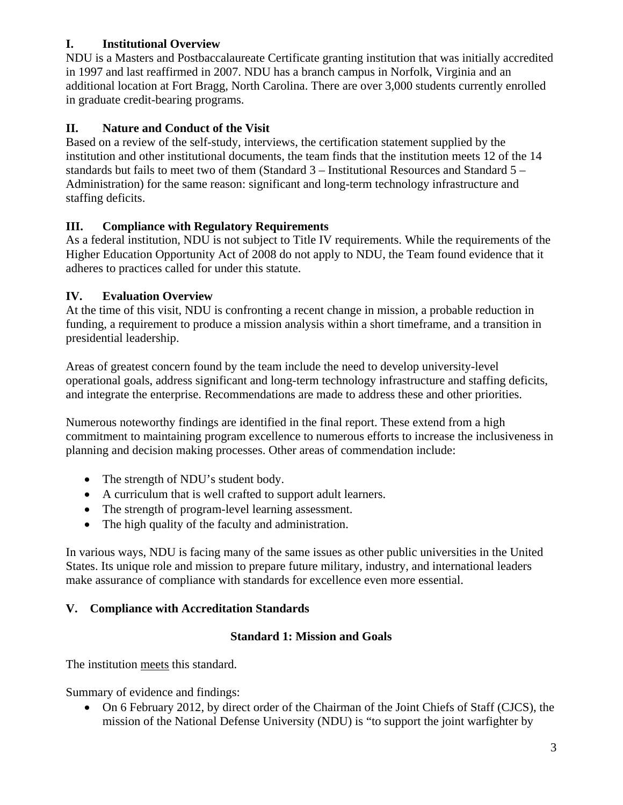# **I. Institutional Overview**

NDU is a Masters and Postbaccalaureate Certificate granting institution that was initially accredited in 1997 and last reaffirmed in 2007. NDU has a branch campus in Norfolk, Virginia and an additional location at Fort Bragg, North Carolina. There are over 3,000 students currently enrolled in graduate credit-bearing programs.

# **II. Nature and Conduct of the Visit**

Based on a review of the self-study, interviews, the certification statement supplied by the institution and other institutional documents, the team finds that the institution meets 12 of the 14 standards but fails to meet two of them (Standard 3 – Institutional Resources and Standard 5 – Administration) for the same reason: significant and long-term technology infrastructure and staffing deficits.

# **III. Compliance with Regulatory Requirements**

As a federal institution, NDU is not subject to Title IV requirements. While the requirements of the Higher Education Opportunity Act of 2008 do not apply to NDU, the Team found evidence that it adheres to practices called for under this statute.

# **IV. Evaluation Overview**

At the time of this visit, NDU is confronting a recent change in mission, a probable reduction in funding, a requirement to produce a mission analysis within a short timeframe, and a transition in presidential leadership.

Areas of greatest concern found by the team include the need to develop university-level operational goals, address significant and long-term technology infrastructure and staffing deficits, and integrate the enterprise. Recommendations are made to address these and other priorities.

Numerous noteworthy findings are identified in the final report. These extend from a high commitment to maintaining program excellence to numerous efforts to increase the inclusiveness in planning and decision making processes. Other areas of commendation include:

- The strength of NDU's student body.
- A curriculum that is well crafted to support adult learners.
- The strength of program-level learning assessment.
- The high quality of the faculty and administration.

In various ways, NDU is facing many of the same issues as other public universities in the United States. Its unique role and mission to prepare future military, industry, and international leaders make assurance of compliance with standards for excellence even more essential.

# **V. Compliance with Accreditation Standards**

# **Standard 1: Mission and Goals**

The institution meets this standard.

Summary of evidence and findings:

• On 6 February 2012, by direct order of the Chairman of the Joint Chiefs of Staff (CJCS), the mission of the National Defense University (NDU) is "to support the joint warfighter by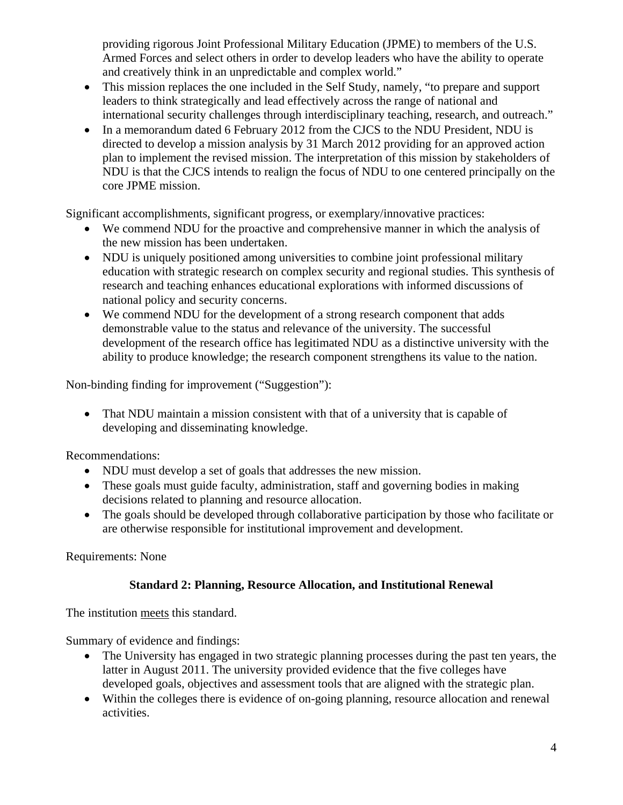providing rigorous Joint Professional Military Education (JPME) to members of the U.S. Armed Forces and select others in order to develop leaders who have the ability to operate and creatively think in an unpredictable and complex world."

- This mission replaces the one included in the Self Study, namely, "to prepare and support leaders to think strategically and lead effectively across the range of national and international security challenges through interdisciplinary teaching, research, and outreach."
- In a memorandum dated 6 February 2012 from the CJCS to the NDU President, NDU is directed to develop a mission analysis by 31 March 2012 providing for an approved action plan to implement the revised mission. The interpretation of this mission by stakeholders of NDU is that the CJCS intends to realign the focus of NDU to one centered principally on the core JPME mission.

Significant accomplishments, significant progress, or exemplary/innovative practices:

- We commend NDU for the proactive and comprehensive manner in which the analysis of the new mission has been undertaken.
- NDU is uniquely positioned among universities to combine joint professional military education with strategic research on complex security and regional studies. This synthesis of research and teaching enhances educational explorations with informed discussions of national policy and security concerns.
- We commend NDU for the development of a strong research component that adds demonstrable value to the status and relevance of the university. The successful development of the research office has legitimated NDU as a distinctive university with the ability to produce knowledge; the research component strengthens its value to the nation.

Non-binding finding for improvement ("Suggestion"):

• That NDU maintain a mission consistent with that of a university that is capable of developing and disseminating knowledge.

Recommendations:

- NDU must develop a set of goals that addresses the new mission.
- These goals must guide faculty, administration, staff and governing bodies in making decisions related to planning and resource allocation.
- The goals should be developed through collaborative participation by those who facilitate or are otherwise responsible for institutional improvement and development.

Requirements: None

# **Standard 2: Planning, Resource Allocation, and Institutional Renewal**

The institution meets this standard.

Summary of evidence and findings:

- The University has engaged in two strategic planning processes during the past ten years, the latter in August 2011. The university provided evidence that the five colleges have developed goals, objectives and assessment tools that are aligned with the strategic plan.
- Within the colleges there is evidence of on-going planning, resource allocation and renewal activities.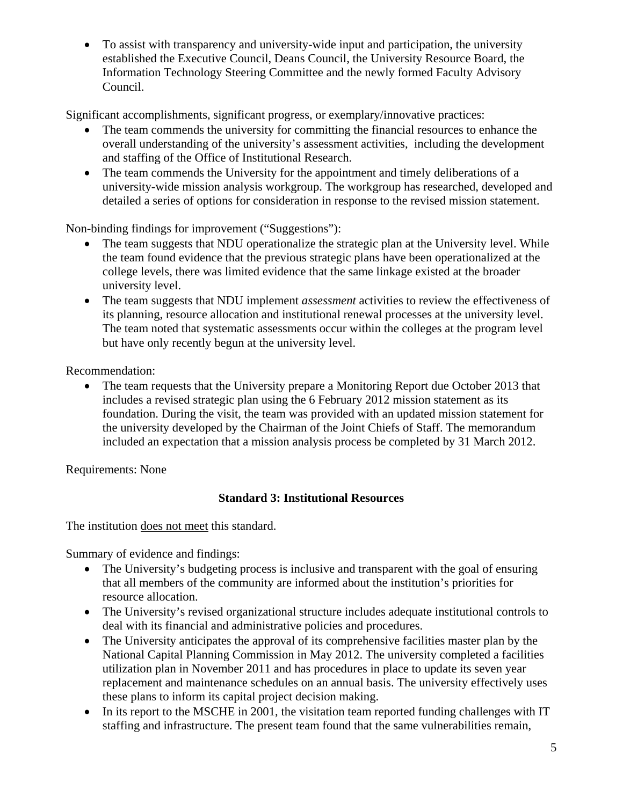• To assist with transparency and university-wide input and participation, the university established the Executive Council, Deans Council, the University Resource Board, the Information Technology Steering Committee and the newly formed Faculty Advisory Council.

Significant accomplishments, significant progress, or exemplary/innovative practices:

- The team commends the university for committing the financial resources to enhance the overall understanding of the university's assessment activities, including the development and staffing of the Office of Institutional Research.
- The team commends the University for the appointment and timely deliberations of a university-wide mission analysis workgroup. The workgroup has researched, developed and detailed a series of options for consideration in response to the revised mission statement.

Non-binding findings for improvement ("Suggestions"):

- The team suggests that NDU operationalize the strategic plan at the University level. While the team found evidence that the previous strategic plans have been operationalized at the college levels, there was limited evidence that the same linkage existed at the broader university level.
- The team suggests that NDU implement *assessment* activities to review the effectiveness of its planning, resource allocation and institutional renewal processes at the university level. The team noted that systematic assessments occur within the colleges at the program level but have only recently begun at the university level.

Recommendation:

• The team requests that the University prepare a Monitoring Report due October 2013 that includes a revised strategic plan using the 6 February 2012 mission statement as its foundation. During the visit, the team was provided with an updated mission statement for the university developed by the Chairman of the Joint Chiefs of Staff. The memorandum included an expectation that a mission analysis process be completed by 31 March 2012.

Requirements: None

# **Standard 3: Institutional Resources**

The institution does not meet this standard.

Summary of evidence and findings:

- The University's budgeting process is inclusive and transparent with the goal of ensuring that all members of the community are informed about the institution's priorities for resource allocation.
- The University's revised organizational structure includes adequate institutional controls to deal with its financial and administrative policies and procedures.
- The University anticipates the approval of its comprehensive facilities master plan by the National Capital Planning Commission in May 2012. The university completed a facilities utilization plan in November 2011 and has procedures in place to update its seven year replacement and maintenance schedules on an annual basis. The university effectively uses these plans to inform its capital project decision making.
- In its report to the MSCHE in 2001, the visitation team reported funding challenges with IT staffing and infrastructure. The present team found that the same vulnerabilities remain,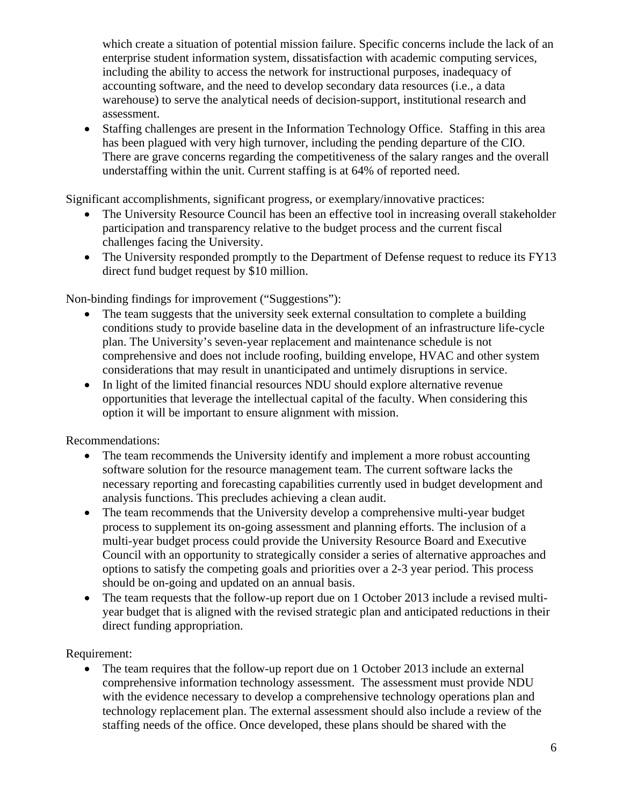which create a situation of potential mission failure. Specific concerns include the lack of an enterprise student information system, dissatisfaction with academic computing services, including the ability to access the network for instructional purposes, inadequacy of accounting software, and the need to develop secondary data resources (i.e., a data warehouse) to serve the analytical needs of decision-support, institutional research and assessment.

• Staffing challenges are present in the Information Technology Office. Staffing in this area has been plagued with very high turnover, including the pending departure of the CIO. There are grave concerns regarding the competitiveness of the salary ranges and the overall understaffing within the unit. Current staffing is at 64% of reported need.

Significant accomplishments, significant progress, or exemplary/innovative practices:

- The University Resource Council has been an effective tool in increasing overall stakeholder participation and transparency relative to the budget process and the current fiscal challenges facing the University.
- The University responded promptly to the Department of Defense request to reduce its FY13 direct fund budget request by \$10 million.

Non-binding findings for improvement ("Suggestions"):

- The team suggests that the university seek external consultation to complete a building conditions study to provide baseline data in the development of an infrastructure life-cycle plan. The University's seven-year replacement and maintenance schedule is not comprehensive and does not include roofing, building envelope, HVAC and other system considerations that may result in unanticipated and untimely disruptions in service.
- In light of the limited financial resources NDU should explore alternative revenue opportunities that leverage the intellectual capital of the faculty. When considering this option it will be important to ensure alignment with mission.

Recommendations:

- The team recommends the University identify and implement a more robust accounting software solution for the resource management team. The current software lacks the necessary reporting and forecasting capabilities currently used in budget development and analysis functions. This precludes achieving a clean audit.
- The team recommends that the University develop a comprehensive multi-year budget process to supplement its on-going assessment and planning efforts. The inclusion of a multi-year budget process could provide the University Resource Board and Executive Council with an opportunity to strategically consider a series of alternative approaches and options to satisfy the competing goals and priorities over a 2-3 year period. This process should be on-going and updated on an annual basis.
- The team requests that the follow-up report due on 1 October 2013 include a revised multiyear budget that is aligned with the revised strategic plan and anticipated reductions in their direct funding appropriation.

Requirement:

• The team requires that the follow-up report due on 1 October 2013 include an external comprehensive information technology assessment. The assessment must provide NDU with the evidence necessary to develop a comprehensive technology operations plan and technology replacement plan. The external assessment should also include a review of the staffing needs of the office. Once developed, these plans should be shared with the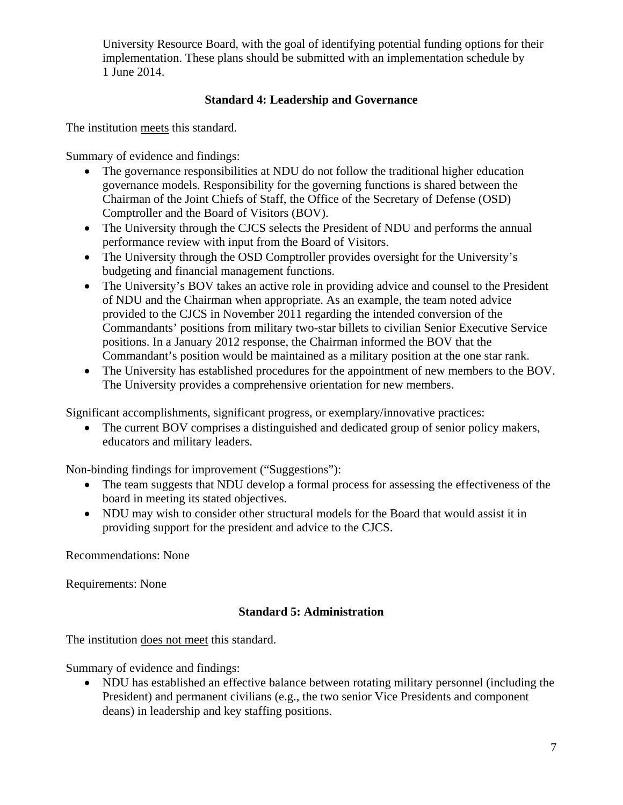University Resource Board, with the goal of identifying potential funding options for their implementation. These plans should be submitted with an implementation schedule by 1 June 2014.

## **Standard 4: Leadership and Governance**

The institution meets this standard.

Summary of evidence and findings:

- The governance responsibilities at NDU do not follow the traditional higher education governance models. Responsibility for the governing functions is shared between the Chairman of the Joint Chiefs of Staff, the Office of the Secretary of Defense (OSD) Comptroller and the Board of Visitors (BOV).
- The University through the CJCS selects the President of NDU and performs the annual performance review with input from the Board of Visitors.
- The University through the OSD Comptroller provides oversight for the University's budgeting and financial management functions.
- The University's BOV takes an active role in providing advice and counsel to the President of NDU and the Chairman when appropriate. As an example, the team noted advice provided to the CJCS in November 2011 regarding the intended conversion of the Commandants' positions from military two-star billets to civilian Senior Executive Service positions. In a January 2012 response, the Chairman informed the BOV that the Commandant's position would be maintained as a military position at the one star rank.
- The University has established procedures for the appointment of new members to the BOV. The University provides a comprehensive orientation for new members.

Significant accomplishments, significant progress, or exemplary/innovative practices:

• The current BOV comprises a distinguished and dedicated group of senior policy makers, educators and military leaders.

Non-binding findings for improvement ("Suggestions"):

- The team suggests that NDU develop a formal process for assessing the effectiveness of the board in meeting its stated objectives.
- NDU may wish to consider other structural models for the Board that would assist it in providing support for the president and advice to the CJCS.

Recommendations: None

Requirements: None

# **Standard 5: Administration**

The institution does not meet this standard.

Summary of evidence and findings:

• NDU has established an effective balance between rotating military personnel (including the President) and permanent civilians (e.g., the two senior Vice Presidents and component deans) in leadership and key staffing positions.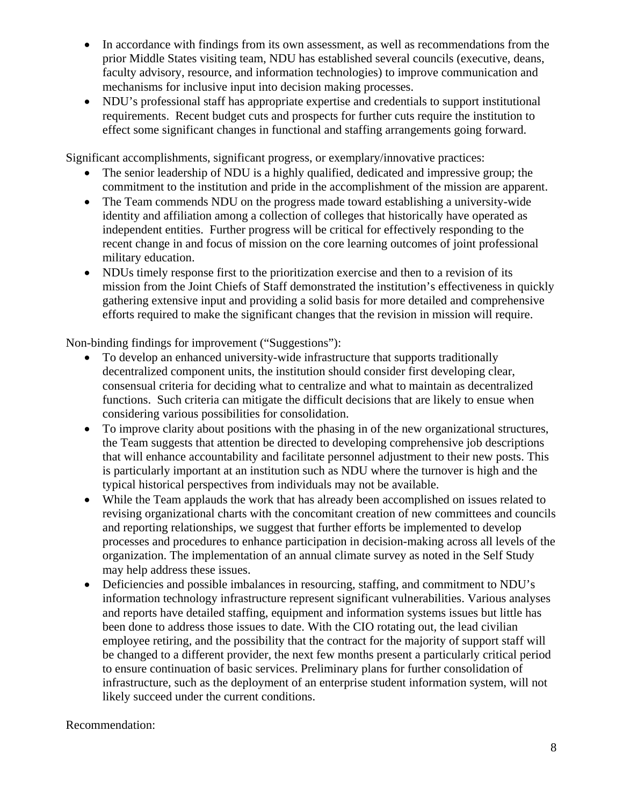- In accordance with findings from its own assessment, as well as recommendations from the prior Middle States visiting team, NDU has established several councils (executive, deans, faculty advisory, resource, and information technologies) to improve communication and mechanisms for inclusive input into decision making processes.
- NDU's professional staff has appropriate expertise and credentials to support institutional requirements. Recent budget cuts and prospects for further cuts require the institution to effect some significant changes in functional and staffing arrangements going forward.

Significant accomplishments, significant progress, or exemplary/innovative practices:

- The senior leadership of NDU is a highly qualified, dedicated and impressive group; the commitment to the institution and pride in the accomplishment of the mission are apparent.
- The Team commends NDU on the progress made toward establishing a university-wide identity and affiliation among a collection of colleges that historically have operated as independent entities. Further progress will be critical for effectively responding to the recent change in and focus of mission on the core learning outcomes of joint professional military education.
- NDUs timely response first to the prioritization exercise and then to a revision of its mission from the Joint Chiefs of Staff demonstrated the institution's effectiveness in quickly gathering extensive input and providing a solid basis for more detailed and comprehensive efforts required to make the significant changes that the revision in mission will require.

Non-binding findings for improvement ("Suggestions"):

- To develop an enhanced university-wide infrastructure that supports traditionally decentralized component units, the institution should consider first developing clear, consensual criteria for deciding what to centralize and what to maintain as decentralized functions. Such criteria can mitigate the difficult decisions that are likely to ensue when considering various possibilities for consolidation.
- To improve clarity about positions with the phasing in of the new organizational structures, the Team suggests that attention be directed to developing comprehensive job descriptions that will enhance accountability and facilitate personnel adjustment to their new posts. This is particularly important at an institution such as NDU where the turnover is high and the typical historical perspectives from individuals may not be available.
- While the Team applauds the work that has already been accomplished on issues related to revising organizational charts with the concomitant creation of new committees and councils and reporting relationships, we suggest that further efforts be implemented to develop processes and procedures to enhance participation in decision-making across all levels of the organization. The implementation of an annual climate survey as noted in the Self Study may help address these issues.
- Deficiencies and possible imbalances in resourcing, staffing, and commitment to NDU's information technology infrastructure represent significant vulnerabilities. Various analyses and reports have detailed staffing, equipment and information systems issues but little has been done to address those issues to date. With the CIO rotating out, the lead civilian employee retiring, and the possibility that the contract for the majority of support staff will be changed to a different provider, the next few months present a particularly critical period to ensure continuation of basic services. Preliminary plans for further consolidation of infrastructure, such as the deployment of an enterprise student information system, will not likely succeed under the current conditions.

#### Recommendation: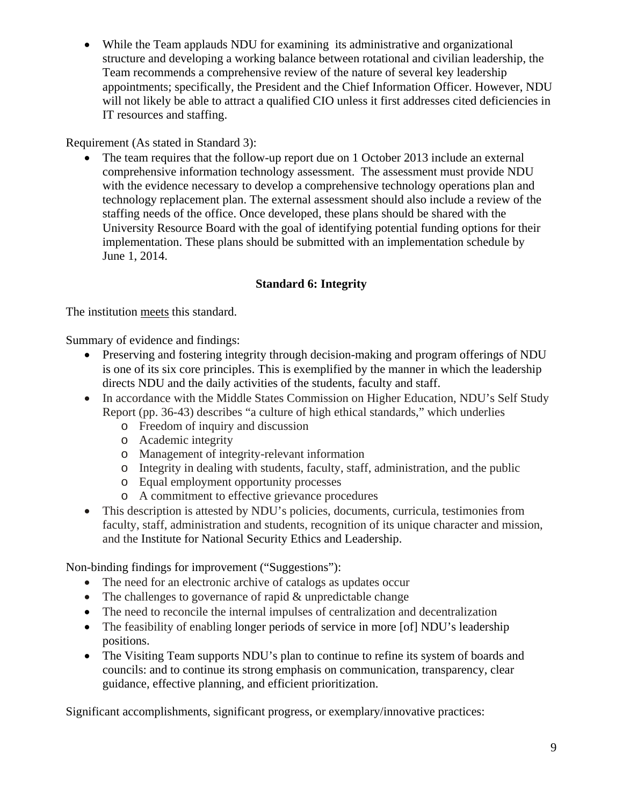• While the Team applauds NDU for examining its administrative and organizational structure and developing a working balance between rotational and civilian leadership, the Team recommends a comprehensive review of the nature of several key leadership appointments; specifically, the President and the Chief Information Officer. However, NDU will not likely be able to attract a qualified CIO unless it first addresses cited deficiencies in IT resources and staffing.

Requirement (As stated in Standard 3):

The team requires that the follow-up report due on 1 October 2013 include an external comprehensive information technology assessment. The assessment must provide NDU with the evidence necessary to develop a comprehensive technology operations plan and technology replacement plan. The external assessment should also include a review of the staffing needs of the office. Once developed, these plans should be shared with the University Resource Board with the goal of identifying potential funding options for their implementation. These plans should be submitted with an implementation schedule by June 1, 2014.

# **Standard 6: Integrity**

The institution meets this standard.

Summary of evidence and findings:

- Preserving and fostering integrity through decision-making and program offerings of NDU is one of its six core principles. This is exemplified by the manner in which the leadership directs NDU and the daily activities of the students, faculty and staff.
- In accordance with the Middle States Commission on Higher Education, NDU's Self Study Report (pp. 36-43) describes "a culture of high ethical standards," which underlies
	- o Freedom of inquiry and discussion
	- o Academic integrity
	- o Management of integrity-relevant information
	- o Integrity in dealing with students, faculty, staff, administration, and the public
	- o Equal employment opportunity processes
	- o A commitment to effective grievance procedures
- This description is attested by NDU's policies, documents, curricula, testimonies from faculty, staff, administration and students, recognition of its unique character and mission, and the Institute for National Security Ethics and Leadership.

Non-binding findings for improvement ("Suggestions"):

- The need for an electronic archive of catalogs as updates occur
- The challenges to governance of rapid  $&$  unpredictable change
- The need to reconcile the internal impulses of centralization and decentralization
- The feasibility of enabling longer periods of service in more [of] NDU's leadership positions.
- The Visiting Team supports NDU's plan to continue to refine its system of boards and councils: and to continue its strong emphasis on communication, transparency, clear guidance, effective planning, and efficient prioritization.

Significant accomplishments, significant progress, or exemplary/innovative practices: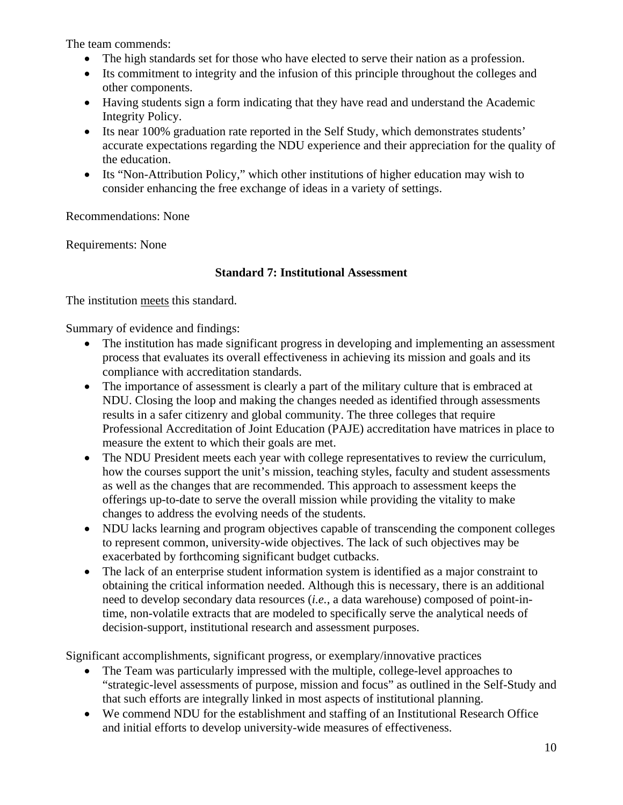The team commends:

- The high standards set for those who have elected to serve their nation as a profession.
- Its commitment to integrity and the infusion of this principle throughout the colleges and other components.
- Having students sign a form indicating that they have read and understand the Academic Integrity Policy.
- Its near 100% graduation rate reported in the Self Study, which demonstrates students' accurate expectations regarding the NDU experience and their appreciation for the quality of the education.
- Its "Non-Attribution Policy," which other institutions of higher education may wish to consider enhancing the free exchange of ideas in a variety of settings.

Recommendations: None

Requirements: None

## **Standard 7: Institutional Assessment**

The institution meets this standard.

Summary of evidence and findings:

- The institution has made significant progress in developing and implementing an assessment process that evaluates its overall effectiveness in achieving its mission and goals and its compliance with accreditation standards.
- The importance of assessment is clearly a part of the military culture that is embraced at NDU. Closing the loop and making the changes needed as identified through assessments results in a safer citizenry and global community. The three colleges that require Professional Accreditation of Joint Education (PAJE) accreditation have matrices in place to measure the extent to which their goals are met.
- The NDU President meets each year with college representatives to review the curriculum, how the courses support the unit's mission, teaching styles, faculty and student assessments as well as the changes that are recommended. This approach to assessment keeps the offerings up-to-date to serve the overall mission while providing the vitality to make changes to address the evolving needs of the students.
- NDU lacks learning and program objectives capable of transcending the component colleges to represent common, university-wide objectives. The lack of such objectives may be exacerbated by forthcoming significant budget cutbacks.
- The lack of an enterprise student information system is identified as a major constraint to obtaining the critical information needed. Although this is necessary, there is an additional need to develop secondary data resources (*i.e.*, a data warehouse) composed of point-intime, non-volatile extracts that are modeled to specifically serve the analytical needs of decision-support, institutional research and assessment purposes.

Significant accomplishments, significant progress, or exemplary/innovative practices

- The Team was particularly impressed with the multiple, college-level approaches to "strategic-level assessments of purpose, mission and focus" as outlined in the Self-Study and that such efforts are integrally linked in most aspects of institutional planning.
- We commend NDU for the establishment and staffing of an Institutional Research Office and initial efforts to develop university-wide measures of effectiveness.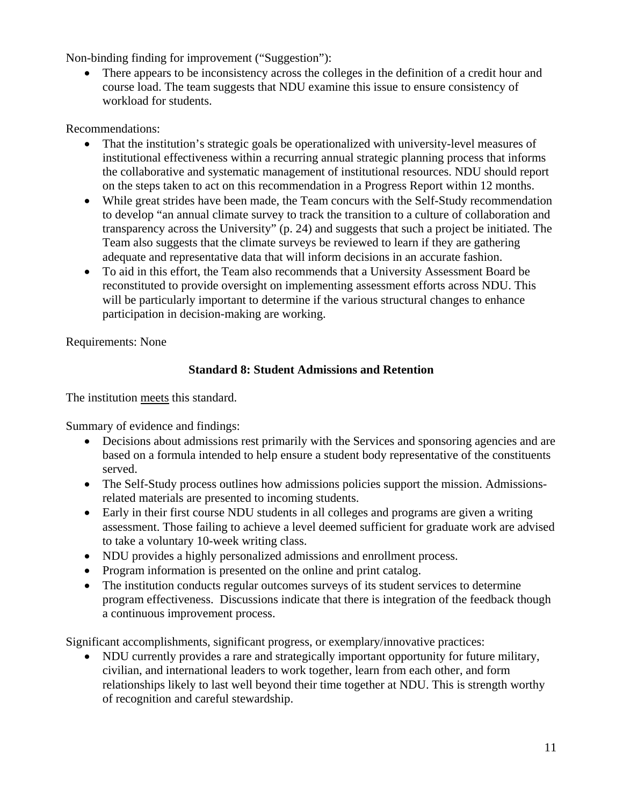Non-binding finding for improvement ("Suggestion"):

• There appears to be inconsistency across the colleges in the definition of a credit hour and course load. The team suggests that NDU examine this issue to ensure consistency of workload for students.

Recommendations:

- That the institution's strategic goals be operationalized with university-level measures of institutional effectiveness within a recurring annual strategic planning process that informs the collaborative and systematic management of institutional resources. NDU should report on the steps taken to act on this recommendation in a Progress Report within 12 months.
- While great strides have been made, the Team concurs with the Self-Study recommendation to develop "an annual climate survey to track the transition to a culture of collaboration and transparency across the University" (p. 24) and suggests that such a project be initiated. The Team also suggests that the climate surveys be reviewed to learn if they are gathering adequate and representative data that will inform decisions in an accurate fashion.
- To aid in this effort, the Team also recommends that a University Assessment Board be reconstituted to provide oversight on implementing assessment efforts across NDU. This will be particularly important to determine if the various structural changes to enhance participation in decision-making are working.

Requirements: None

# **Standard 8: Student Admissions and Retention**

The institution meets this standard.

Summary of evidence and findings:

- Decisions about admissions rest primarily with the Services and sponsoring agencies and are based on a formula intended to help ensure a student body representative of the constituents served.
- The Self-Study process outlines how admissions policies support the mission. Admissionsrelated materials are presented to incoming students.
- Early in their first course NDU students in all colleges and programs are given a writing assessment. Those failing to achieve a level deemed sufficient for graduate work are advised to take a voluntary 10-week writing class.
- NDU provides a highly personalized admissions and enrollment process.
- Program information is presented on the online and print catalog.
- The institution conducts regular outcomes surveys of its student services to determine program effectiveness. Discussions indicate that there is integration of the feedback though a continuous improvement process.

Significant accomplishments, significant progress, or exemplary/innovative practices:

• NDU currently provides a rare and strategically important opportunity for future military, civilian, and international leaders to work together, learn from each other, and form relationships likely to last well beyond their time together at NDU. This is strength worthy of recognition and careful stewardship.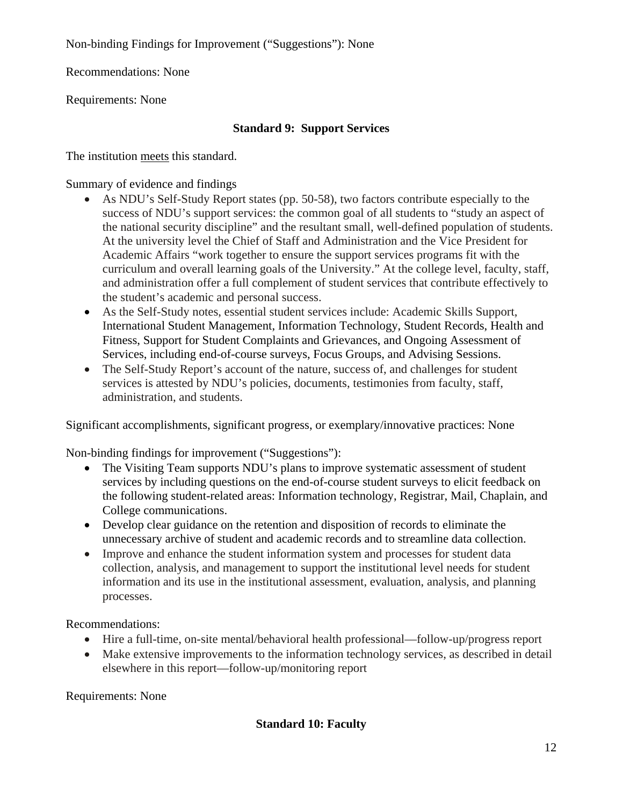Non-binding Findings for Improvement ("Suggestions"): None

Recommendations: None

Requirements: None

# **Standard 9: Support Services**

The institution meets this standard.

Summary of evidence and findings

- As NDU's Self-Study Report states (pp. 50-58), two factors contribute especially to the success of NDU's support services: the common goal of all students to "study an aspect of the national security discipline" and the resultant small, well-defined population of students. At the university level the Chief of Staff and Administration and the Vice President for Academic Affairs "work together to ensure the support services programs fit with the curriculum and overall learning goals of the University." At the college level, faculty, staff, and administration offer a full complement of student services that contribute effectively to the student's academic and personal success.
- As the Self-Study notes, essential student services include: Academic Skills Support, International Student Management, Information Technology, Student Records, Health and Fitness, Support for Student Complaints and Grievances, and Ongoing Assessment of Services, including end-of-course surveys, Focus Groups, and Advising Sessions.
- The Self-Study Report's account of the nature, success of, and challenges for student services is attested by NDU's policies, documents, testimonies from faculty, staff, administration, and students.

Significant accomplishments, significant progress, or exemplary/innovative practices: None

Non-binding findings for improvement ("Suggestions"):

- The Visiting Team supports NDU's plans to improve systematic assessment of student services by including questions on the end-of-course student surveys to elicit feedback on the following student-related areas: Information technology, Registrar, Mail, Chaplain, and College communications.
- Develop clear guidance on the retention and disposition of records to eliminate the unnecessary archive of student and academic records and to streamline data collection.
- Improve and enhance the student information system and processes for student data collection, analysis, and management to support the institutional level needs for student information and its use in the institutional assessment, evaluation, analysis, and planning processes.

Recommendations:

- Hire a full-time, on-site mental/behavioral health professional—follow-up/progress report
- Make extensive improvements to the information technology services, as described in detail elsewhere in this report—follow-up/monitoring report

Requirements: None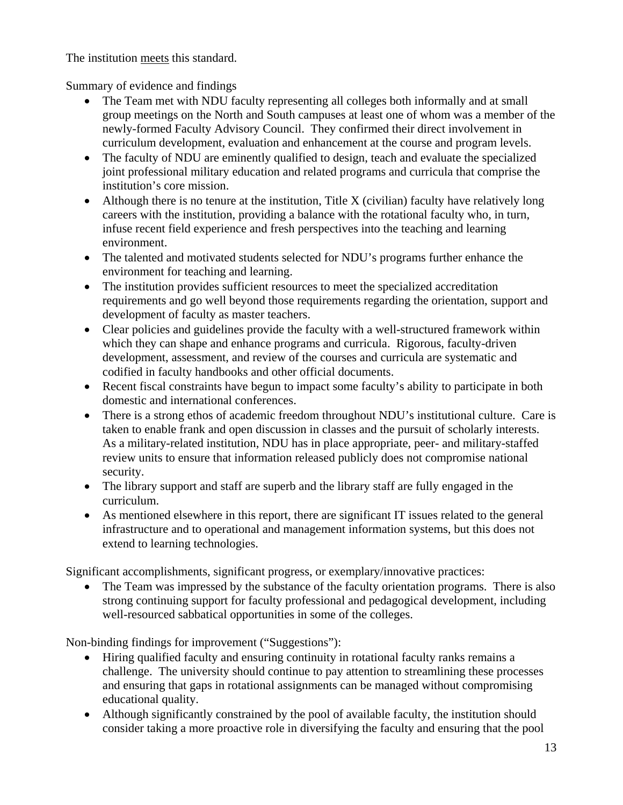The institution meets this standard.

Summary of evidence and findings

- The Team met with NDU faculty representing all colleges both informally and at small group meetings on the North and South campuses at least one of whom was a member of the newly-formed Faculty Advisory Council. They confirmed their direct involvement in curriculum development, evaluation and enhancement at the course and program levels.
- The faculty of NDU are eminently qualified to design, teach and evaluate the specialized joint professional military education and related programs and curricula that comprise the institution's core mission.
- Although there is no tenure at the institution, Title X (civilian) faculty have relatively long careers with the institution, providing a balance with the rotational faculty who, in turn, infuse recent field experience and fresh perspectives into the teaching and learning environment.
- The talented and motivated students selected for NDU's programs further enhance the environment for teaching and learning.
- The institution provides sufficient resources to meet the specialized accreditation requirements and go well beyond those requirements regarding the orientation, support and development of faculty as master teachers.
- Clear policies and guidelines provide the faculty with a well-structured framework within which they can shape and enhance programs and curricula. Rigorous, faculty-driven development, assessment, and review of the courses and curricula are systematic and codified in faculty handbooks and other official documents.
- Recent fiscal constraints have begun to impact some faculty's ability to participate in both domestic and international conferences.
- There is a strong ethos of academic freedom throughout NDU's institutional culture. Care is taken to enable frank and open discussion in classes and the pursuit of scholarly interests. As a military-related institution, NDU has in place appropriate, peer- and military-staffed review units to ensure that information released publicly does not compromise national security.
- The library support and staff are superb and the library staff are fully engaged in the curriculum.
- As mentioned elsewhere in this report, there are significant IT issues related to the general infrastructure and to operational and management information systems, but this does not extend to learning technologies.

Significant accomplishments, significant progress, or exemplary/innovative practices:

• The Team was impressed by the substance of the faculty orientation programs. There is also strong continuing support for faculty professional and pedagogical development, including well-resourced sabbatical opportunities in some of the colleges.

Non-binding findings for improvement ("Suggestions"):

- Hiring qualified faculty and ensuring continuity in rotational faculty ranks remains a challenge. The university should continue to pay attention to streamlining these processes and ensuring that gaps in rotational assignments can be managed without compromising educational quality.
- Although significantly constrained by the pool of available faculty, the institution should consider taking a more proactive role in diversifying the faculty and ensuring that the pool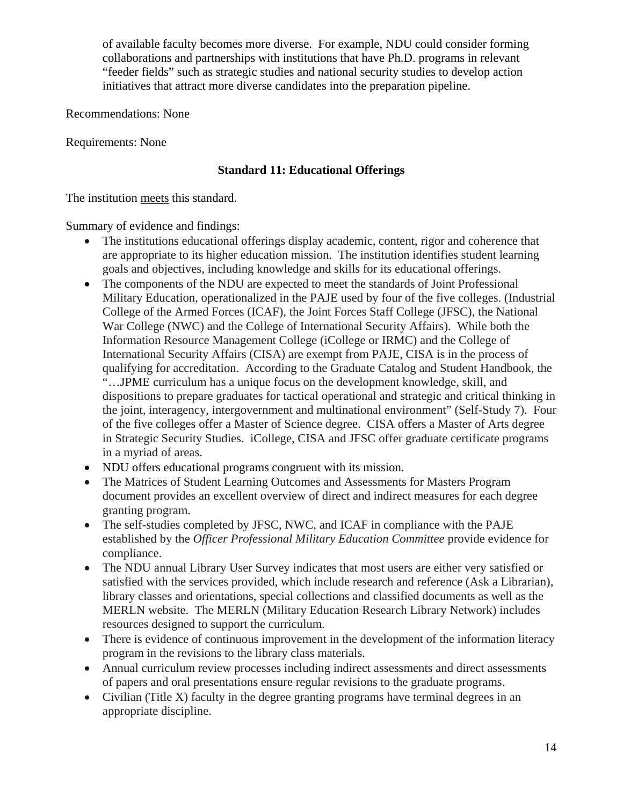of available faculty becomes more diverse. For example, NDU could consider forming collaborations and partnerships with institutions that have Ph.D. programs in relevant "feeder fields" such as strategic studies and national security studies to develop action initiatives that attract more diverse candidates into the preparation pipeline.

Recommendations: None

Requirements: None

## **Standard 11: Educational Offerings**

The institution meets this standard.

Summary of evidence and findings:

- The institutions educational offerings display academic, content, rigor and coherence that are appropriate to its higher education mission. The institution identifies student learning goals and objectives, including knowledge and skills for its educational offerings.
- The components of the NDU are expected to meet the standards of Joint Professional Military Education, operationalized in the PAJE used by four of the five colleges. (Industrial College of the Armed Forces (ICAF), the Joint Forces Staff College (JFSC), the National War College (NWC) and the College of International Security Affairs). While both the Information Resource Management College (iCollege or IRMC) and the College of International Security Affairs (CISA) are exempt from PAJE, CISA is in the process of qualifying for accreditation. According to the Graduate Catalog and Student Handbook, the "…JPME curriculum has a unique focus on the development knowledge, skill, and dispositions to prepare graduates for tactical operational and strategic and critical thinking in the joint, interagency, intergovernment and multinational environment" (Self-Study 7). Four of the five colleges offer a Master of Science degree. CISA offers a Master of Arts degree in Strategic Security Studies. iCollege, CISA and JFSC offer graduate certificate programs in a myriad of areas.
- NDU offers educational programs congruent with its mission.
- The Matrices of Student Learning Outcomes and Assessments for Masters Program document provides an excellent overview of direct and indirect measures for each degree granting program.
- The self-studies completed by JFSC, NWC, and ICAF in compliance with the PAJE established by the *Officer Professional Military Education Committee* provide evidence for compliance.
- The NDU annual Library User Survey indicates that most users are either very satisfied or satisfied with the services provided, which include research and reference (Ask a Librarian), library classes and orientations, special collections and classified documents as well as the MERLN website. The MERLN (Military Education Research Library Network) includes resources designed to support the curriculum.
- There is evidence of continuous improvement in the development of the information literacy program in the revisions to the library class materials.
- Annual curriculum review processes including indirect assessments and direct assessments of papers and oral presentations ensure regular revisions to the graduate programs.
- Civilian (Title X) faculty in the degree granting programs have terminal degrees in an appropriate discipline.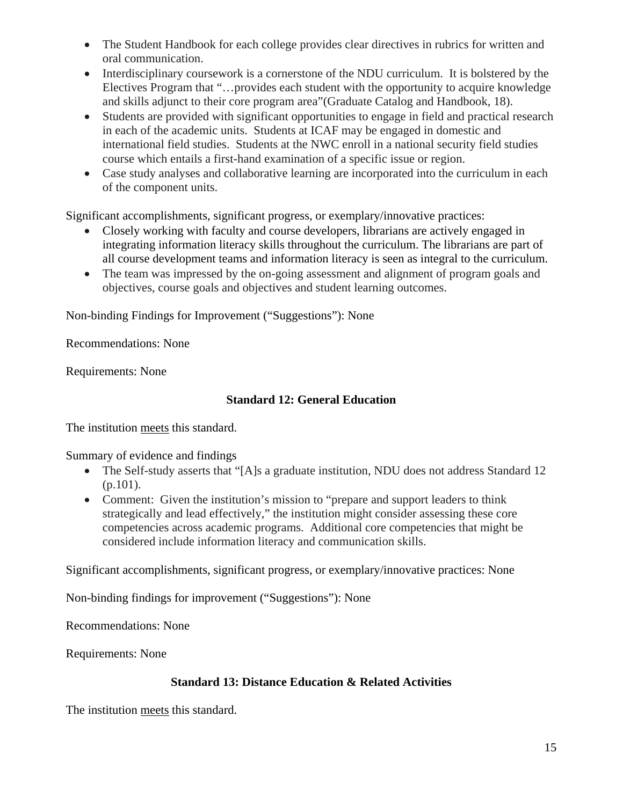- The Student Handbook for each college provides clear directives in rubrics for written and oral communication.
- Interdisciplinary coursework is a cornerstone of the NDU curriculum. It is bolstered by the Electives Program that "…provides each student with the opportunity to acquire knowledge and skills adjunct to their core program area"(Graduate Catalog and Handbook, 18).
- Students are provided with significant opportunities to engage in field and practical research in each of the academic units. Students at ICAF may be engaged in domestic and international field studies. Students at the NWC enroll in a national security field studies course which entails a first-hand examination of a specific issue or region.
- Case study analyses and collaborative learning are incorporated into the curriculum in each of the component units.

Significant accomplishments, significant progress, or exemplary/innovative practices:

- Closely working with faculty and course developers, librarians are actively engaged in integrating information literacy skills throughout the curriculum. The librarians are part of all course development teams and information literacy is seen as integral to the curriculum.
- The team was impressed by the on-going assessment and alignment of program goals and objectives, course goals and objectives and student learning outcomes.

Non-binding Findings for Improvement ("Suggestions"): None

Recommendations: None

Requirements: None

## **Standard 12: General Education**

The institution meets this standard.

Summary of evidence and findings

- The Self-study asserts that "[A]s a graduate institution, NDU does not address Standard 12  $(p.101)$ .
- Comment: Given the institution's mission to "prepare and support leaders to think strategically and lead effectively," the institution might consider assessing these core competencies across academic programs. Additional core competencies that might be considered include information literacy and communication skills.

Significant accomplishments, significant progress, or exemplary/innovative practices: None

Non-binding findings for improvement ("Suggestions"): None

Recommendations: None

Requirements: None

# **Standard 13: Distance Education & Related Activities**

The institution meets this standard.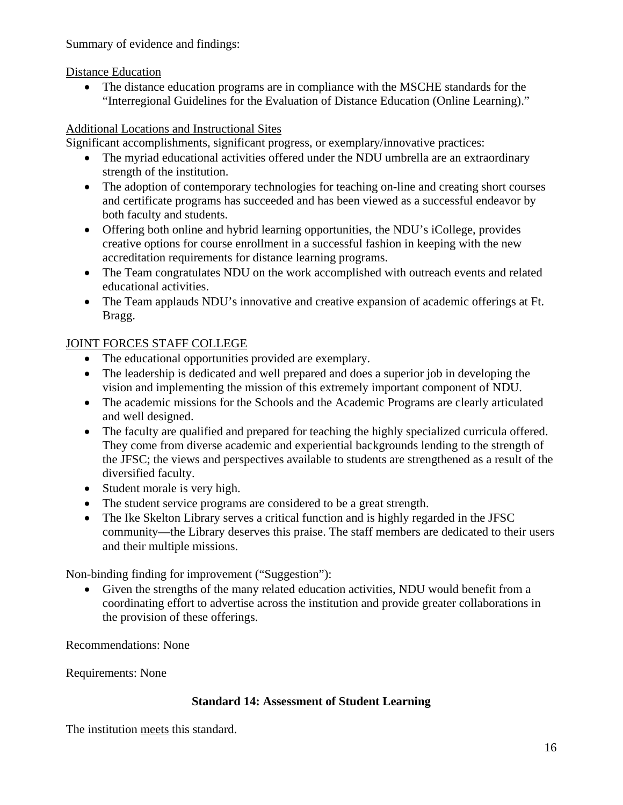Summary of evidence and findings:

Distance Education

• The distance education programs are in compliance with the MSCHE standards for the "Interregional Guidelines for the Evaluation of Distance Education (Online Learning)."

# Additional Locations and Instructional Sites

Significant accomplishments, significant progress, or exemplary/innovative practices:

- The myriad educational activities offered under the NDU umbrella are an extraordinary strength of the institution.
- The adoption of contemporary technologies for teaching on-line and creating short courses and certificate programs has succeeded and has been viewed as a successful endeavor by both faculty and students.
- Offering both online and hybrid learning opportunities, the NDU's iCollege, provides creative options for course enrollment in a successful fashion in keeping with the new accreditation requirements for distance learning programs.
- The Team congratulates NDU on the work accomplished with outreach events and related educational activities.
- The Team applauds NDU's innovative and creative expansion of academic offerings at Ft. Bragg.

# JOINT FORCES STAFF COLLEGE

- The educational opportunities provided are exemplary.
- The leadership is dedicated and well prepared and does a superior job in developing the vision and implementing the mission of this extremely important component of NDU.
- The academic missions for the Schools and the Academic Programs are clearly articulated and well designed.
- The faculty are qualified and prepared for teaching the highly specialized curricula offered. They come from diverse academic and experiential backgrounds lending to the strength of the JFSC; the views and perspectives available to students are strengthened as a result of the diversified faculty.
- Student morale is very high.
- The student service programs are considered to be a great strength.
- The Ike Skelton Library serves a critical function and is highly regarded in the JFSC community—the Library deserves this praise. The staff members are dedicated to their users and their multiple missions.

Non-binding finding for improvement ("Suggestion"):

• Given the strengths of the many related education activities, NDU would benefit from a coordinating effort to advertise across the institution and provide greater collaborations in the provision of these offerings.

Recommendations: None

Requirements: None

# **Standard 14: Assessment of Student Learning**

The institution meets this standard.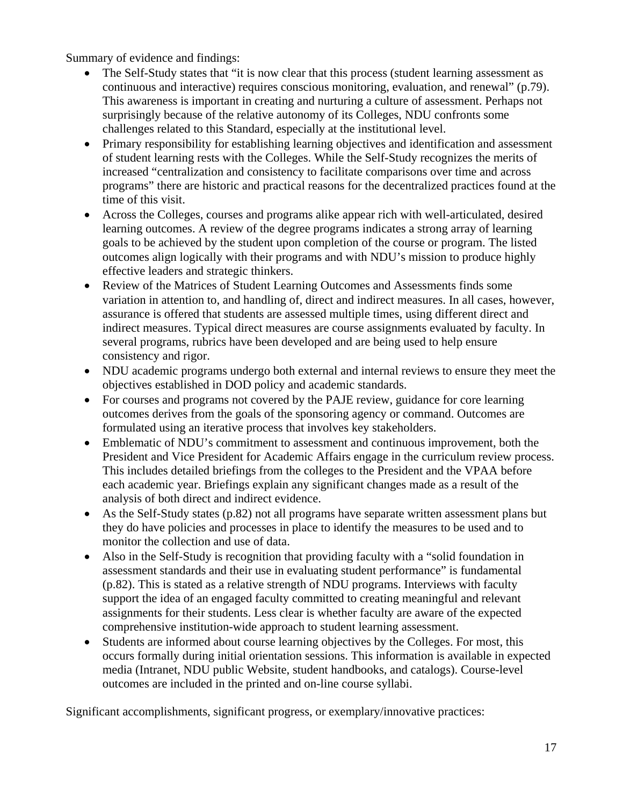Summary of evidence and findings:

- The Self-Study states that "it is now clear that this process (student learning assessment as continuous and interactive) requires conscious monitoring, evaluation, and renewal" (p.79). This awareness is important in creating and nurturing a culture of assessment. Perhaps not surprisingly because of the relative autonomy of its Colleges, NDU confronts some challenges related to this Standard, especially at the institutional level.
- Primary responsibility for establishing learning objectives and identification and assessment of student learning rests with the Colleges. While the Self-Study recognizes the merits of increased "centralization and consistency to facilitate comparisons over time and across programs" there are historic and practical reasons for the decentralized practices found at the time of this visit.
- Across the Colleges, courses and programs alike appear rich with well-articulated, desired learning outcomes. A review of the degree programs indicates a strong array of learning goals to be achieved by the student upon completion of the course or program. The listed outcomes align logically with their programs and with NDU's mission to produce highly effective leaders and strategic thinkers.
- Review of the Matrices of Student Learning Outcomes and Assessments finds some variation in attention to, and handling of, direct and indirect measures. In all cases, however, assurance is offered that students are assessed multiple times, using different direct and indirect measures. Typical direct measures are course assignments evaluated by faculty. In several programs, rubrics have been developed and are being used to help ensure consistency and rigor.
- NDU academic programs undergo both external and internal reviews to ensure they meet the objectives established in DOD policy and academic standards.
- For courses and programs not covered by the PAJE review, guidance for core learning outcomes derives from the goals of the sponsoring agency or command. Outcomes are formulated using an iterative process that involves key stakeholders.
- Emblematic of NDU's commitment to assessment and continuous improvement, both the President and Vice President for Academic Affairs engage in the curriculum review process. This includes detailed briefings from the colleges to the President and the VPAA before each academic year. Briefings explain any significant changes made as a result of the analysis of both direct and indirect evidence.
- As the Self-Study states (p.82) not all programs have separate written assessment plans but they do have policies and processes in place to identify the measures to be used and to monitor the collection and use of data.
- Also in the Self-Study is recognition that providing faculty with a "solid foundation in assessment standards and their use in evaluating student performance" is fundamental (p.82). This is stated as a relative strength of NDU programs. Interviews with faculty support the idea of an engaged faculty committed to creating meaningful and relevant assignments for their students. Less clear is whether faculty are aware of the expected comprehensive institution-wide approach to student learning assessment.
- Students are informed about course learning objectives by the Colleges. For most, this occurs formally during initial orientation sessions. This information is available in expected media (Intranet, NDU public Website, student handbooks, and catalogs). Course-level outcomes are included in the printed and on-line course syllabi.

Significant accomplishments, significant progress, or exemplary/innovative practices: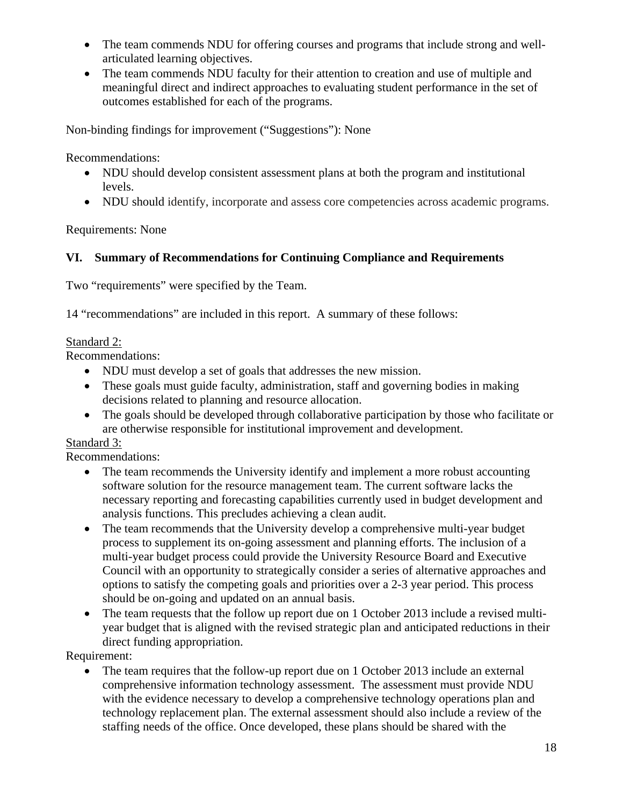- The team commends NDU for offering courses and programs that include strong and wellarticulated learning objectives.
- The team commends NDU faculty for their attention to creation and use of multiple and meaningful direct and indirect approaches to evaluating student performance in the set of outcomes established for each of the programs.

Non-binding findings for improvement ("Suggestions"): None

Recommendations:

- NDU should develop consistent assessment plans at both the program and institutional levels.
- NDU should identify, incorporate and assess core competencies across academic programs.

Requirements: None

# **VI. Summary of Recommendations for Continuing Compliance and Requirements**

Two "requirements" were specified by the Team.

14 "recommendations" are included in this report. A summary of these follows:

## Standard 2:

Recommendations:

- NDU must develop a set of goals that addresses the new mission.
- These goals must guide faculty, administration, staff and governing bodies in making decisions related to planning and resource allocation.
- The goals should be developed through collaborative participation by those who facilitate or are otherwise responsible for institutional improvement and development.

# Standard 3:

Recommendations:

- The team recommends the University identify and implement a more robust accounting software solution for the resource management team. The current software lacks the necessary reporting and forecasting capabilities currently used in budget development and analysis functions. This precludes achieving a clean audit.
- The team recommends that the University develop a comprehensive multi-year budget process to supplement its on-going assessment and planning efforts. The inclusion of a multi-year budget process could provide the University Resource Board and Executive Council with an opportunity to strategically consider a series of alternative approaches and options to satisfy the competing goals and priorities over a 2-3 year period. This process should be on-going and updated on an annual basis.
- The team requests that the follow up report due on 1 October 2013 include a revised multiyear budget that is aligned with the revised strategic plan and anticipated reductions in their direct funding appropriation.

Requirement:

• The team requires that the follow-up report due on 1 October 2013 include an external comprehensive information technology assessment. The assessment must provide NDU with the evidence necessary to develop a comprehensive technology operations plan and technology replacement plan. The external assessment should also include a review of the staffing needs of the office. Once developed, these plans should be shared with the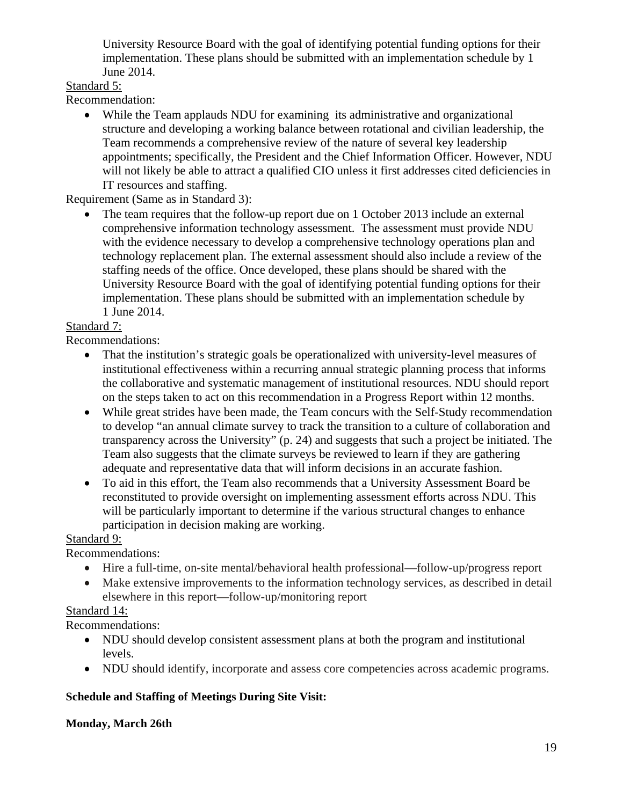University Resource Board with the goal of identifying potential funding options for their implementation. These plans should be submitted with an implementation schedule by 1 June 2014.

## Standard 5:

Recommendation:

• While the Team applauds NDU for examining its administrative and organizational structure and developing a working balance between rotational and civilian leadership, the Team recommends a comprehensive review of the nature of several key leadership appointments; specifically, the President and the Chief Information Officer. However, NDU will not likely be able to attract a qualified CIO unless it first addresses cited deficiencies in IT resources and staffing.

Requirement (Same as in Standard 3):

The team requires that the follow-up report due on 1 October 2013 include an external comprehensive information technology assessment. The assessment must provide NDU with the evidence necessary to develop a comprehensive technology operations plan and technology replacement plan. The external assessment should also include a review of the staffing needs of the office. Once developed, these plans should be shared with the University Resource Board with the goal of identifying potential funding options for their implementation. These plans should be submitted with an implementation schedule by 1 June 2014.

## Standard 7:

Recommendations:

- That the institution's strategic goals be operationalized with university-level measures of institutional effectiveness within a recurring annual strategic planning process that informs the collaborative and systematic management of institutional resources. NDU should report on the steps taken to act on this recommendation in a Progress Report within 12 months.
- While great strides have been made, the Team concurs with the Self-Study recommendation to develop "an annual climate survey to track the transition to a culture of collaboration and transparency across the University" (p. 24) and suggests that such a project be initiated. The Team also suggests that the climate surveys be reviewed to learn if they are gathering adequate and representative data that will inform decisions in an accurate fashion.
- To aid in this effort, the Team also recommends that a University Assessment Board be reconstituted to provide oversight on implementing assessment efforts across NDU. This will be particularly important to determine if the various structural changes to enhance participation in decision making are working.

# Standard 9:

Recommendations:

- Hire a full-time, on-site mental/behavioral health professional—follow-up/progress report
- Make extensive improvements to the information technology services, as described in detail elsewhere in this report—follow-up/monitoring report

# Standard 14:

Recommendations:

- NDU should develop consistent assessment plans at both the program and institutional levels.
- NDU should identify, incorporate and assess core competencies across academic programs.

# **Schedule and Staffing of Meetings During Site Visit:**

# **Monday, March 26th**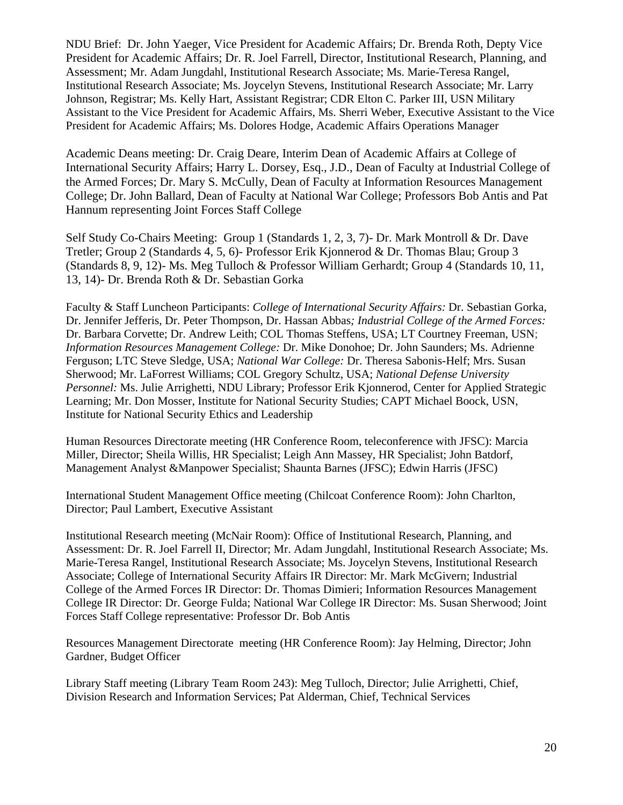NDU Brief: Dr. John Yaeger, Vice President for Academic Affairs; Dr. Brenda Roth, Depty Vice President for Academic Affairs; Dr. R. Joel Farrell, Director, Institutional Research, Planning, and Assessment; Mr. Adam Jungdahl, Institutional Research Associate; Ms. Marie-Teresa Rangel, Institutional Research Associate; Ms. Joycelyn Stevens, Institutional Research Associate; Mr. Larry Johnson, Registrar; Ms. Kelly Hart, Assistant Registrar; CDR Elton C. Parker III, USN Military Assistant to the Vice President for Academic Affairs, Ms. Sherri Weber, Executive Assistant to the Vice President for Academic Affairs; Ms. Dolores Hodge, Academic Affairs Operations Manager

Academic Deans meeting: Dr. Craig Deare, Interim Dean of Academic Affairs at College of International Security Affairs; Harry L. Dorsey, Esq., J.D., Dean of Faculty at Industrial College of the Armed Forces; Dr. Mary S. McCully, Dean of Faculty at Information Resources Management College; Dr. John Ballard, Dean of Faculty at National War College; Professors Bob Antis and Pat Hannum representing Joint Forces Staff College

Self Study Co-Chairs Meeting: Group 1 (Standards 1, 2, 3, 7)- Dr. Mark Montroll & Dr. Dave Tretler; Group 2 (Standards 4, 5, 6)- Professor Erik Kjonnerod & Dr. Thomas Blau; Group 3 (Standards 8, 9, 12)- Ms. Meg Tulloch & Professor William Gerhardt; Group 4 (Standards 10, 11, 13, 14)- Dr. Brenda Roth & Dr. Sebastian Gorka

Faculty & Staff Luncheon Participants: *College of International Security Affairs:* Dr. Sebastian Gorka, Dr. Jennifer Jefferis, Dr. Peter Thompson, Dr. Hassan Abbas*; Industrial College of the Armed Forces:*  Dr. Barbara Corvette; Dr. Andrew Leith; COL Thomas Steffens, USA; LT Courtney Freeman, USN; *Information Resources Management College:* Dr. Mike Donohoe; Dr. John Saunders; Ms. Adrienne Ferguson; LTC Steve Sledge, USA; *National War College:* Dr. Theresa Sabonis-Helf; Mrs. Susan Sherwood; Mr. LaForrest Williams; COL Gregory Schultz, USA; *National Defense University Personnel:* Ms. Julie Arrighetti, NDU Library; Professor Erik Kjonnerod, Center for Applied Strategic Learning; Mr. Don Mosser, Institute for National Security Studies; CAPT Michael Boock, USN, Institute for National Security Ethics and Leadership

Human Resources Directorate meeting (HR Conference Room, teleconference with JFSC): Marcia Miller, Director; Sheila Willis, HR Specialist; Leigh Ann Massey, HR Specialist; John Batdorf, Management Analyst &Manpower Specialist; Shaunta Barnes (JFSC); Edwin Harris (JFSC)

International Student Management Office meeting (Chilcoat Conference Room): John Charlton, Director; Paul Lambert, Executive Assistant

Institutional Research meeting (McNair Room): Office of Institutional Research, Planning, and Assessment: Dr. R. Joel Farrell II, Director; Mr. Adam Jungdahl, Institutional Research Associate; Ms. Marie-Teresa Rangel, Institutional Research Associate; Ms. Joycelyn Stevens, Institutional Research Associate; College of International Security Affairs IR Director: Mr. Mark McGivern; Industrial College of the Armed Forces IR Director: Dr. Thomas Dimieri; Information Resources Management College IR Director: Dr. George Fulda; National War College IR Director: Ms. Susan Sherwood; Joint Forces Staff College representative: Professor Dr. Bob Antis

Resources Management Directorate meeting (HR Conference Room): Jay Helming, Director; John Gardner, Budget Officer

Library Staff meeting (Library Team Room 243): Meg Tulloch, Director; Julie Arrighetti, Chief, Division Research and Information Services; Pat Alderman, Chief, Technical Services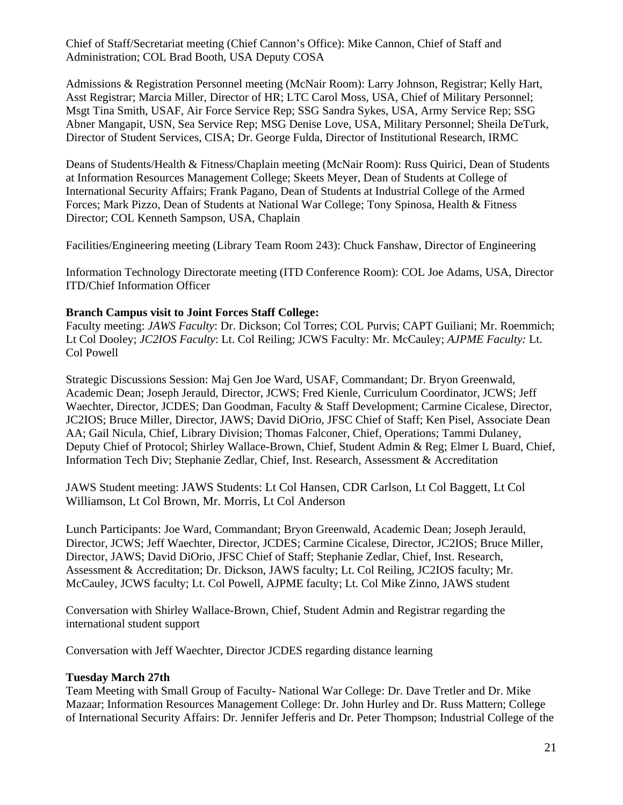Chief of Staff/Secretariat meeting (Chief Cannon's Office): Mike Cannon, Chief of Staff and Administration; COL Brad Booth, USA Deputy COSA

Admissions & Registration Personnel meeting (McNair Room): Larry Johnson, Registrar; Kelly Hart, Asst Registrar; Marcia Miller, Director of HR; LTC Carol Moss, USA, Chief of Military Personnel; Msgt Tina Smith, USAF, Air Force Service Rep; SSG Sandra Sykes, USA, Army Service Rep; SSG Abner Mangapit, USN, Sea Service Rep; MSG Denise Love, USA, Military Personnel; Sheila DeTurk, Director of Student Services, CISA; Dr. George Fulda, Director of Institutional Research, IRMC

Deans of Students/Health & Fitness/Chaplain meeting (McNair Room): Russ Quirici, Dean of Students at Information Resources Management College; Skeets Meyer, Dean of Students at College of International Security Affairs; Frank Pagano, Dean of Students at Industrial College of the Armed Forces; Mark Pizzo, Dean of Students at National War College; Tony Spinosa, Health & Fitness Director; COL Kenneth Sampson, USA, Chaplain

Facilities/Engineering meeting (Library Team Room 243): Chuck Fanshaw, Director of Engineering

Information Technology Directorate meeting (ITD Conference Room): COL Joe Adams, USA, Director ITD/Chief Information Officer

#### **Branch Campus visit to Joint Forces Staff College:**

Faculty meeting: *JAWS Faculty*: Dr. Dickson; Col Torres; COL Purvis; CAPT Guiliani; Mr. Roemmich; Lt Col Dooley; *JC2IOS Faculty*: Lt. Col Reiling; JCWS Faculty: Mr. McCauley; *AJPME Faculty:* Lt. Col Powell

Strategic Discussions Session: Maj Gen Joe Ward, USAF, Commandant; Dr. Bryon Greenwald, Academic Dean; Joseph Jerauld, Director, JCWS; Fred Kienle, Curriculum Coordinator, JCWS; Jeff Waechter, Director, JCDES; Dan Goodman, Faculty & Staff Development; Carmine Cicalese, Director, JC2IOS; Bruce Miller, Director, JAWS; David DiOrio, JFSC Chief of Staff; Ken Pisel, Associate Dean AA; Gail Nicula, Chief, Library Division; Thomas Falconer, Chief, Operations; Tammi Dulaney, Deputy Chief of Protocol; Shirley Wallace-Brown, Chief, Student Admin & Reg; Elmer L Buard, Chief, Information Tech Div; Stephanie Zedlar, Chief, Inst. Research, Assessment & Accreditation

JAWS Student meeting: JAWS Students: Lt Col Hansen, CDR Carlson, Lt Col Baggett, Lt Col Williamson, Lt Col Brown, Mr. Morris, Lt Col Anderson

Lunch Participants: Joe Ward, Commandant; Bryon Greenwald, Academic Dean; Joseph Jerauld, Director, JCWS; Jeff Waechter, Director, JCDES; Carmine Cicalese, Director, JC2IOS; Bruce Miller, Director, JAWS; David DiOrio, JFSC Chief of Staff; Stephanie Zedlar, Chief, Inst. Research, Assessment & Accreditation; Dr. Dickson, JAWS faculty; Lt. Col Reiling, JC2IOS faculty; Mr. McCauley, JCWS faculty; Lt. Col Powell, AJPME faculty; Lt. Col Mike Zinno, JAWS student

Conversation with Shirley Wallace-Brown, Chief, Student Admin and Registrar regarding the international student support

Conversation with Jeff Waechter, Director JCDES regarding distance learning

#### **Tuesday March 27th**

Team Meeting with Small Group of Faculty- National War College: Dr. Dave Tretler and Dr. Mike Mazaar; Information Resources Management College: Dr. John Hurley and Dr. Russ Mattern; College of International Security Affairs: Dr. Jennifer Jefferis and Dr. Peter Thompson; Industrial College of the